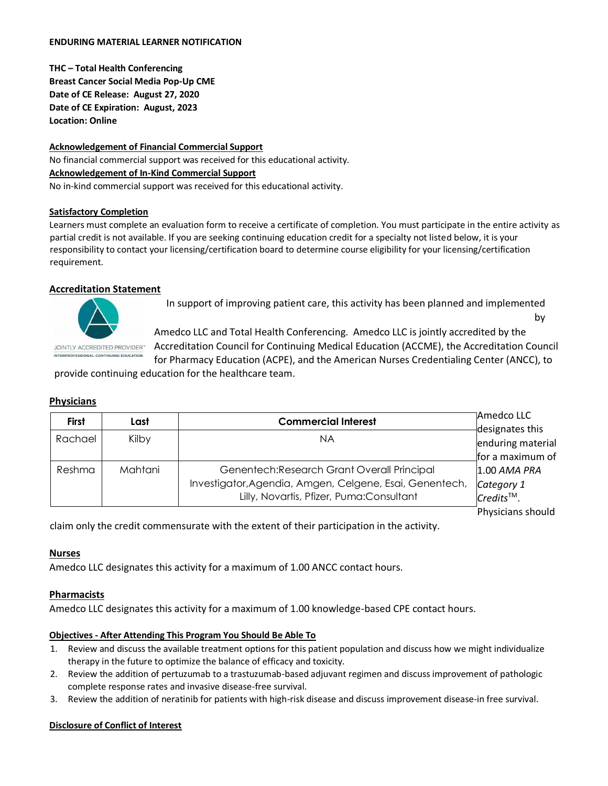#### **ENDURING MATERIAL LEARNER NOTIFICATION**

**THC – Total Health Conferencing Breast Cancer Social Media Pop-Up CME Date of CE Release: August 27, 2020 Date of CE Expiration: August, 2023 Location: Online** 

**Acknowledgement of Financial Commercial Support** No financial commercial support was received for this educational activity. **Acknowledgement of In-Kind Commercial Support**  No in-kind commercial support was received for this educational activity.

#### **Satisfactory Completion**

Learners must complete an evaluation form to receive a certificate of completion. You must participate in the entire activity as partial credit is not available. If you are seeking continuing education credit for a specialty not listed below, it is your responsibility to contact your licensing/certification board to determine course eligibility for your licensing/certification requirement.

## **Accreditation Statement**



In support of improving patient care, this activity has been planned and implemented by

**JOINTLY ACCREDITED PROVIDER**<sup>\*\*</sup>

Amedco LLC and Total Health Conferencing. Amedco LLC is jointly accredited by the Accreditation Council for Continuing Medical Education (ACCME), the Accreditation Council for Pharmacy Education (ACPE), and the American Nurses Credentialing Center (ANCC), to

provide continuing education for the healthcare team.

#### **Physicians**

| <b>First</b> | Last    | <b>Commercial Interest</b>                              | Amedco LLC                            |
|--------------|---------|---------------------------------------------------------|---------------------------------------|
|              |         |                                                         | designates this                       |
| Rachael      | Kilby   | ΝA                                                      | enduring material                     |
|              |         |                                                         | for a maximum of                      |
| Reshma       | Mahtani | Genentech: Research Grant Overall Principal             | 1.00 AMA PRA                          |
|              |         | Investigator, Agendia, Amgen, Celgene, Esai, Genentech, |                                       |
|              |         | Lilly, Novartis, Pfizer, Puma:Consultant                | Category 1<br>Credits <sup>TM</sup> . |
|              |         |                                                         | Physicians should                     |

claim only the credit commensurate with the extent of their participation in the activity.

#### **Nurses**

Amedco LLC designates this activity for a maximum of 1.00 ANCC contact hours.

# **Pharmacists**

Amedco LLC designates this activity for a maximum of 1.00 knowledge-based CPE contact hours.

#### **Objectives - After Attending This Program You Should Be Able To**

- 1. Review and discuss the available treatment options for this patient population and discuss how we might individualize therapy in the future to optimize the balance of efficacy and toxicity.
- 2. Review the addition of pertuzumab to a trastuzumab-based adjuvant regimen and discuss improvement of pathologic complete response rates and invasive disease-free survival.
- 3. Review the addition of neratinib for patients with high-risk disease and discuss improvement disease-in free survival.

#### **Disclosure of Conflict of Interest**